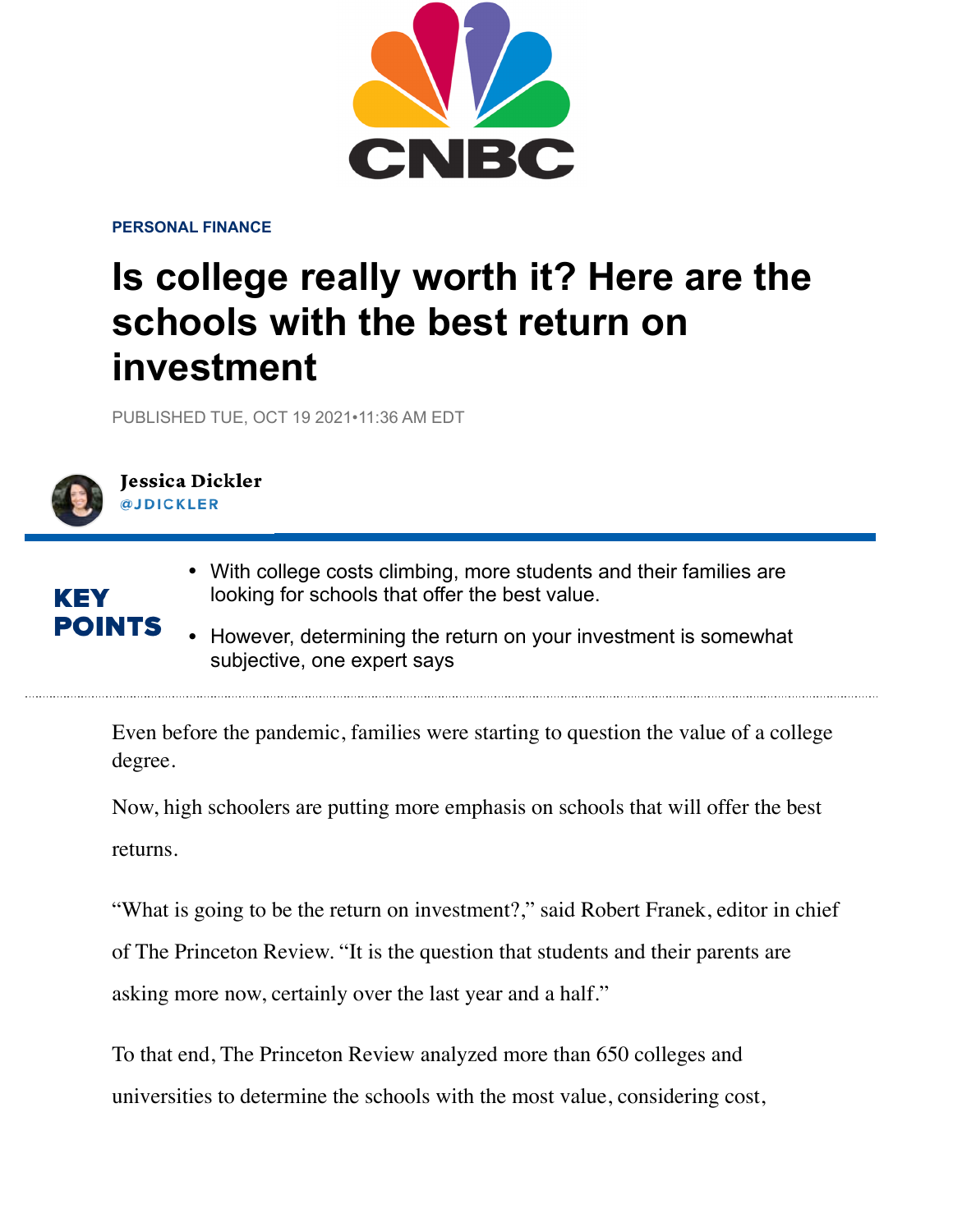

**PERSONAL FINANCE** 

## **Is college really worth it? Here are the schools with the best return on investment**

PUBLISHED TUE, OCT 19 2021•11:36 AM EDT



KEY

POINTS

## **Jessica Dickler** @ IDICKLER

- With college costs climbing, more students and their families are looking for schools that offer the best value.
	- However, determining the return on your investment is somewhat subjective, one expert says

Even before the pandemic, families were starting to question the value of a college degree.

Now, high schoolers are putting more emphasis on schools that will offer the best returns.

"What is going to be the return on investment?," said Robert Franek, editor in chief

of The Princeton Review. "It is the question that students and their parents are

asking more now, certainly over the last year and a half."

To that end, The Princeton Review analyzed more than 650 colleges and universities to determine the schools with the most value, considering cost,